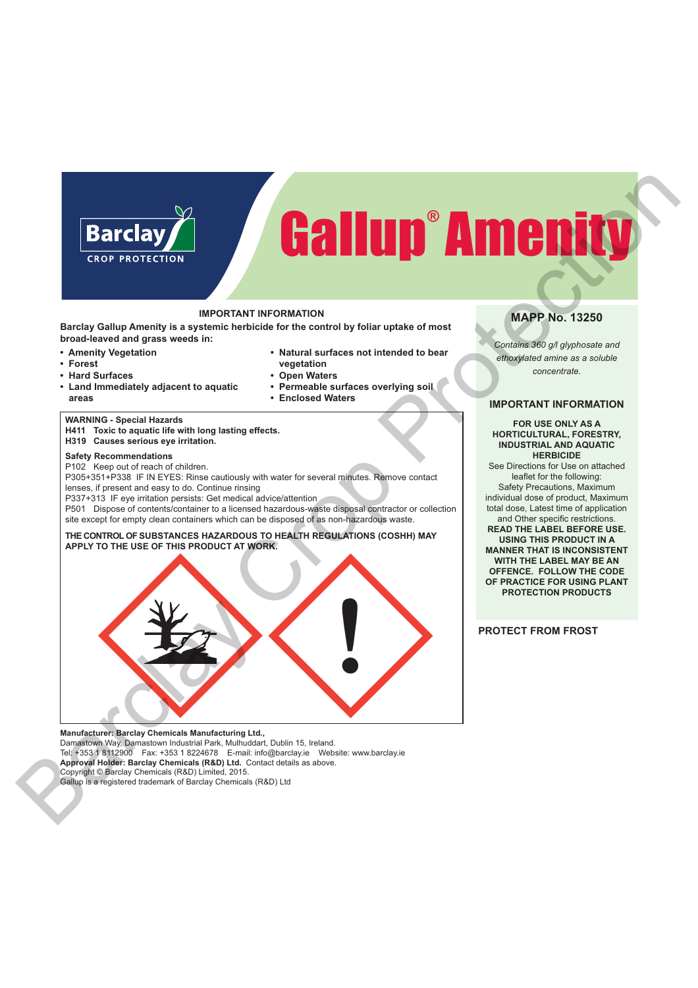# Gallup® Amenity

# **IMPORTANT INFORMATION**

**Barclay Gallup Amenity is a systemic herbicide for the control by foliar uptake of most broad-leaved and grass weeds in:**

- **Amenity Vegetation**
- **Forest**
- **Hard Surfaces**
- **Land Immediately adjacent to aquatic areas**
- **Enclosed Waters**

**vegetation • Open Waters**

**• Natural surfaces not intended to bear**

**• Permeable surfaces overlying soil**

# **WARNING - Special Hazards**

**H411 Toxic to aquatic life with long lasting effects. H319 Causes serious eye irritation.**

# **Safety Recommendations**

P102 Keep out of reach of children.

P305+351+P338 IF IN EYES: Rinse cautiously with water for several minutes. Remove contact lenses, if present and easy to do. Continue rinsing

P337+313 IF eye irritation persists: Get medical advice/attention

P501 Dispose of contents/container to a licensed hazardous-waste disposal contractor or collection site except for empty clean containers which can be disposed of as non-hazardous waste.

### **THE CONTROL OF SUBSTANCES HAZARDOUS TO HEALTH REGULATIONS (COSHH) MAY APPLY TO THE USE OF THIS PRODUCT AT WORK.**



**Manufacturer: Barclay Chemicals Manufacturing Ltd.,**  Damastown Way, Damastown Industrial Park, Mulhuddart, Dublin 15, Ireland. Tel: +353 1 8112900 Fax: +353 1 8224678 E-mail: info@barclay.ie Website: www.barclay.ie **Approval Holder: Barclay Chemicals (R&D) Ltd.** Contact details as above. Copyright © Barclay Chemicals (R&D) Limited, 2015.

Gallup is a registered trademark of Barclay Chemicals (R&D) Ltd

# **MAPP No. 13250**

*Contains 360 g/l glyphosate and ethoxylated amine as a soluble concentrate.*

# **IMPORTANT INFORMATION**

**FOR USE ONLY AS A HORTICULTURAL, FORESTRY, INDUSTRIAL AND AQUATIC HERBICIDE** 

See Directions for Use on attached leaflet for the following: Safety Precautions, Maximum individual dose of product, Maximum total dose, Latest time of application and Other specific restrictions.

**READ THE LABEL BEFORE USE. USING THIS PRODUCT IN A MANNER THAT IS INCONSISTENT WITH THE LABEL MAY BE AN OFFENCE. FOLLOW THE CODE OF PRACTICE FOR USING PLANT PROTECTION PRODUCTS**

# **PROTECT FROM FROST**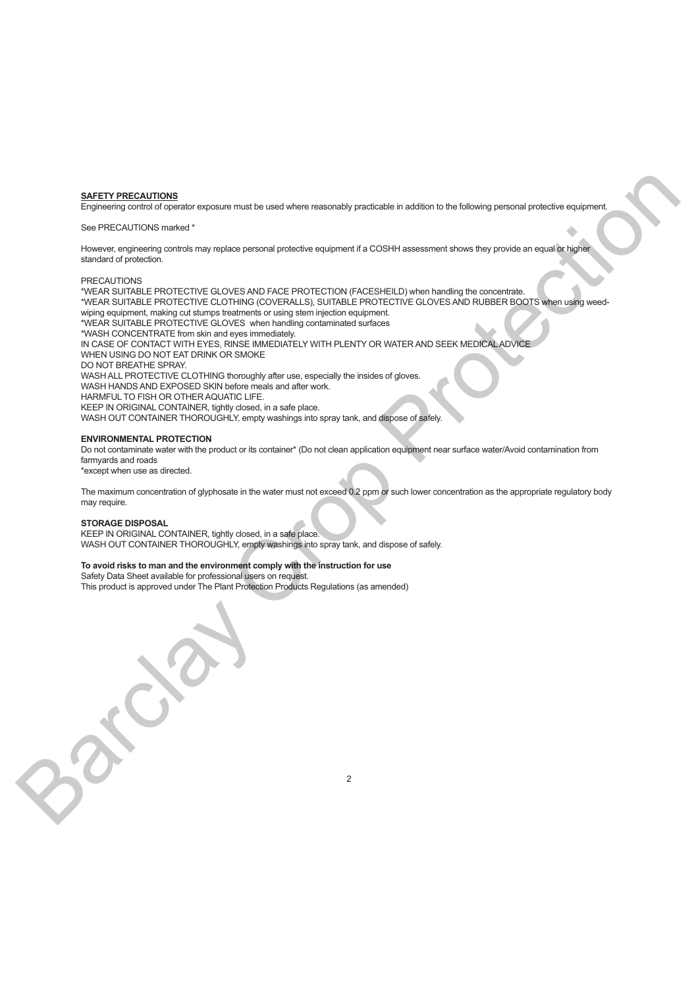#### **SAFETY PRECAUTIONS**

Engineering control of operator exposure must be used where reasonably practicable in addition to the following personal protective equipment.

#### See PRECAUTIONS marked \*

However, engineering controls may replace personal protective equipment if a COSHH assessment shows they provide an equal or higher standard of protection.

#### PRECAUTIONS

\*WEAR SUITABLE PROTECTIVE GLOVES AND FACE PROTECTION (FACESHEILD) when handling the concentrate. \*WEAR SUITABLE PROTECTIVE CLOTHING (COVERALLS), SUITABLE PROTECTIVE GLOVES AND RUBBER BOOTS when using weedwiping equipment, making cut stumps treatments or using stem injection equipment. \*WEAR SUITABLE PROTECTIVE GLOVES when handling contaminated surfaces \*WASH CONCENTRATE from skin and eyes immediately. IN CASE OF CONTACT WITH EYES, RINSE IMMEDIATELY WITH PLENTY OR WATER AND SEEK MEDICAL ADVICE WHEN USING DO NOT EAT DRINK OR SMOKE DO NOT BREATHE SPRAY. WASH ALL PROTECTIVE CLOTHING thoroughly after use, especially the insides of gloves. WASH HANDS AND EXPOSED SKIN before meals and after work. HARMFUL TO FISH OR OTHER AQUATIC LIFE. KEEP IN ORIGINAL CONTAINER, tightly closed, in a safe place. WASH OUT CONTAINER THOROUGHLY, empty washings into spray tank, and dispose of safely. **BAFFIY PRECAUTION**<br>
Figure is your control of the main of the main of the main of the main of the figure is the main of the main of the main of the main of the main of the main of the main of the main of the main of the

#### **ENVIRONMENTAL PROTECTION**

Do not contaminate water with the product or its container\* (Do not clean application equipment near surface water/Avoid contamination from farmyards and roads

\*except when use as directed.

The maximum concentration of glyphosate in the water must not exceed 0.2 ppm or such lower concentration as the appropriate regulatory body may require.

 $\mathfrak{p}$ 

#### **STORAGE DISPOSAL**

KEEP IN ORIGINAL CONTAINER, tightly closed, in a safe place. WASH OUT CONTAINER THOROUGHLY, empty washings into spray tank, and dispose of safely.

#### **To avoid risks to man and the environment comply with the instruction for use**

Safety Data Sheet available for professional users on request. This product is approved under The Plant Protection Products Regulations (as amended)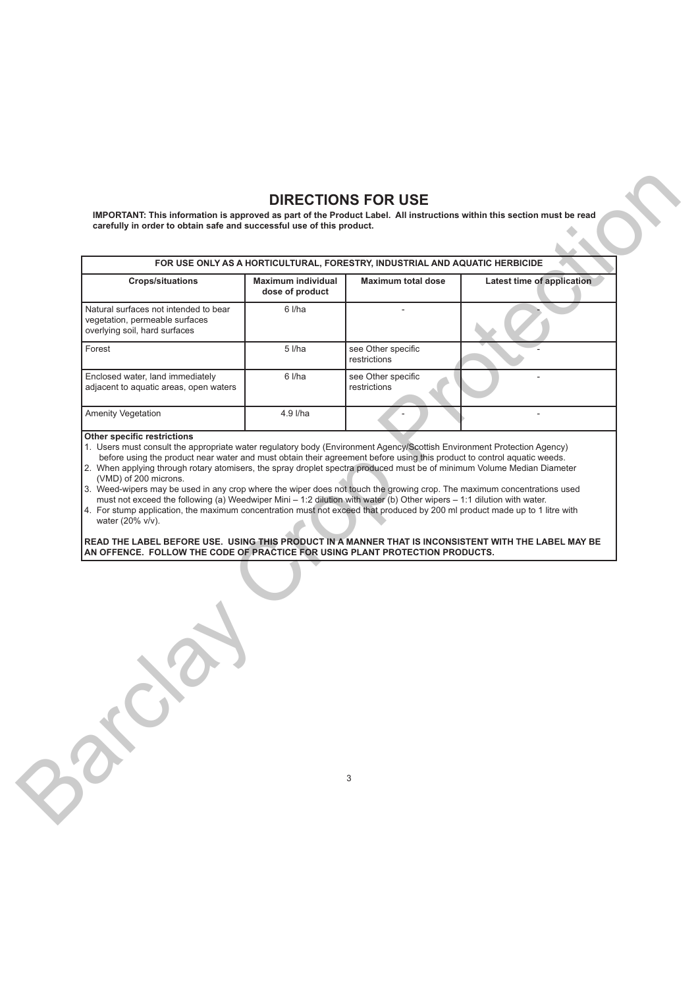# **DIRECTIONS FOR USE**

|                                                                                                                                                                                      |                                              | FOR USE ONLY AS A HORTICULTURAL, FORESTRY, INDUSTRIAL AND AQUATIC HERBICIDE |                            |
|--------------------------------------------------------------------------------------------------------------------------------------------------------------------------------------|----------------------------------------------|-----------------------------------------------------------------------------|----------------------------|
| <b>Crops/situations</b>                                                                                                                                                              | <b>Maximum individual</b><br>dose of product | <b>Maximum total dose</b>                                                   | Latest time of application |
| Natural surfaces not intended to bear<br>vegetation, permeable surfaces<br>overlying soil, hard surfaces                                                                             | 6 l/ha                                       | ÷                                                                           |                            |
| Forest                                                                                                                                                                               | 5 l/ha                                       | see Other specific<br>restrictions                                          |                            |
| Enclosed water, land immediately<br>adjacent to aquatic areas, open waters                                                                                                           | 6 l/ha                                       | see Other specific<br>restrictions                                          |                            |
| Amenity Vegetation                                                                                                                                                                   | 4.9 l/ha                                     |                                                                             |                            |
| READ THE LABEL BEFORE USE. USING THIS PRODUCT IN A MANNER THAT IS INCONSISTENT WITH THE LABEL MAY BE<br>AN OFFENCE. FOLLOW THE CODE OF PRACTICE FOR USING PLANT PROTECTION PRODUCTS. |                                              |                                                                             |                            |
|                                                                                                                                                                                      |                                              |                                                                             |                            |
|                                                                                                                                                                                      |                                              |                                                                             |                            |

# **Other specific restrictions**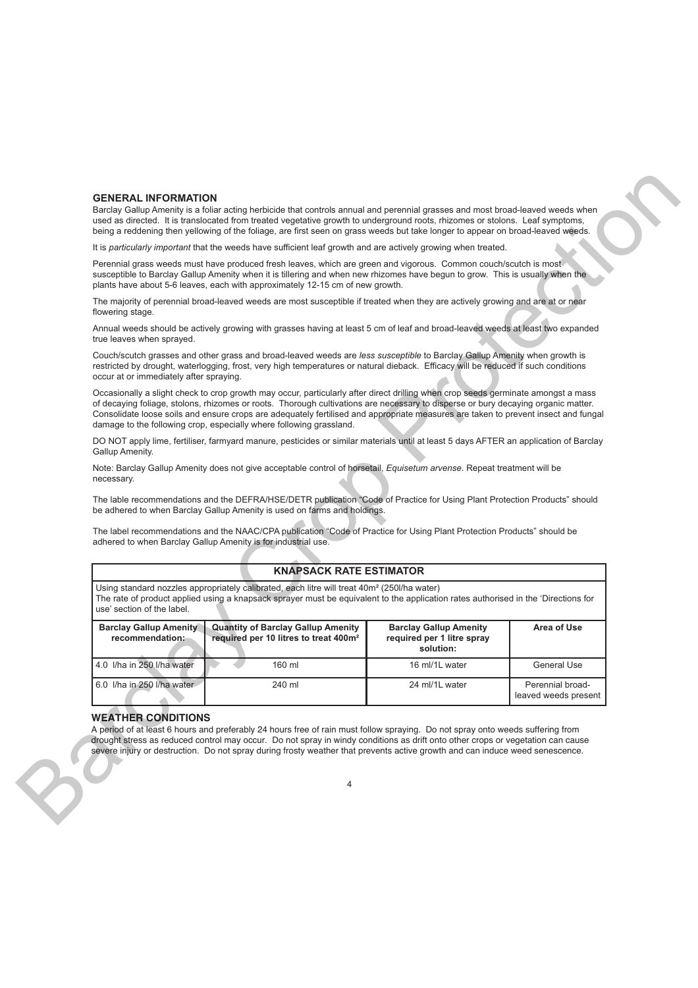## **GENERAL INFORMATION**

# **KNAPSACK RATE ESTIMATOR**

| <b>GENERAL INFORMATION</b>                       | Barclay Gallup Amenity is a foliar acting herbicide that controls annual and perennial grasses and most broad-leaved weeds when                                                                                                                                                                                                                                                                                                                                                     |                                                                          |                                          |
|--------------------------------------------------|-------------------------------------------------------------------------------------------------------------------------------------------------------------------------------------------------------------------------------------------------------------------------------------------------------------------------------------------------------------------------------------------------------------------------------------------------------------------------------------|--------------------------------------------------------------------------|------------------------------------------|
|                                                  | used as directed. It is translocated from treated vegetative growth to underground roots, rhizomes or stolons. Leaf symptoms,<br>being a reddening then yellowing of the foliage, are first seen on grass weeds but take longer to appear on broad-leaved weeds.                                                                                                                                                                                                                    |                                                                          |                                          |
|                                                  | It is particularly important that the weeds have sufficient leaf growth and are actively growing when treated.                                                                                                                                                                                                                                                                                                                                                                      |                                                                          |                                          |
|                                                  | Perennial grass weeds must have produced fresh leaves, which are green and vigorous. Common couch/scutch is most<br>susceptible to Barclay Gallup Amenity when it is tillering and when new rhizomes have begun to grow. This is usually when the<br>plants have about 5-6 leaves, each with approximately 12-15 cm of new growth.                                                                                                                                                  |                                                                          |                                          |
| flowering stage.                                 | The majority of perennial broad-leaved weeds are most susceptible if treated when they are actively growing and are at or near                                                                                                                                                                                                                                                                                                                                                      |                                                                          |                                          |
| true leaves when sprayed.                        | Annual weeds should be actively growing with grasses having at least 5 cm of leaf and broad-leaved weeds at least two expanded                                                                                                                                                                                                                                                                                                                                                      |                                                                          |                                          |
| occur at or immediately after spraying.          | Couch/scutch grasses and other grass and broad-leaved weeds are less susceptible to Barclay Gallup Amenity when growth is<br>restricted by drought, waterlogging, frost, very high temperatures or natural dieback. Efficacy will be reduced if such conditions                                                                                                                                                                                                                     |                                                                          |                                          |
|                                                  | Occasionally a slight check to crop growth may occur, particularly after direct drilling when crop seeds germinate amongst a mass<br>of decaying foliage, stolons, rhizomes or roots. Thorough cultivations are necessary to disperse or bury decaying organic matter.<br>Consolidate loose soils and ensure crops are adequately fertilised and appropriate measures are taken to prevent insect and fungal<br>damage to the following crop, especially where following grassland. |                                                                          |                                          |
| Gallup Amenity.                                  | DO NOT apply lime, fertiliser, farmyard manure, pesticides or similar materials until at least 5 days AFTER an application of Barclay                                                                                                                                                                                                                                                                                                                                               |                                                                          |                                          |
| necessary.                                       | Note: Barclay Gallup Amenity does not give acceptable control of horsetail, Equisetum arvense. Repeat treatment will be                                                                                                                                                                                                                                                                                                                                                             |                                                                          |                                          |
|                                                  | The lable recommendations and the DEFRA/HSE/DETR publication "Code of Practice for Using Plant Protection Products" should<br>be adhered to when Barclay Gallup Amenity is used on farms and holdings.                                                                                                                                                                                                                                                                              |                                                                          |                                          |
|                                                  | The label recommendations and the NAAC/CPA publication "Code of Practice for Using Plant Protection Products" should be<br>adhered to when Barclay Gallup Amenity is for industrial use.                                                                                                                                                                                                                                                                                            |                                                                          |                                          |
|                                                  | <b>KNAPSACK RATE ESTIMATOR</b>                                                                                                                                                                                                                                                                                                                                                                                                                                                      |                                                                          |                                          |
| use' section of the label.                       | Using standard nozzles appropriately calibrated, each litre will treat 40m <sup>2</sup> (250l/ha water)<br>The rate of product applied using a knapsack sprayer must be equivalent to the application rates authorised in the 'Directions for                                                                                                                                                                                                                                       |                                                                          |                                          |
| <b>Barclay Gallup Amenity</b><br>recommendation: | <b>Quantity of Barclay Gallup Amenity</b><br>required per 10 litres to treat 400m <sup>2</sup>                                                                                                                                                                                                                                                                                                                                                                                      | <b>Barclay Gallup Amenity</b><br>required per 1 litre spray<br>solution: | Area of Use                              |
| 4.0 I/ha in 250 I/ha water                       | 160 ml                                                                                                                                                                                                                                                                                                                                                                                                                                                                              | 16 ml/1L water                                                           | <b>General Use</b>                       |
| 6.0 I/ha in 250 I/ha water                       | 240 ml                                                                                                                                                                                                                                                                                                                                                                                                                                                                              | 24 ml/1L water                                                           | Perennial broad-<br>leaved weeds present |
| <b>WEATHER CONDITIONS</b>                        | A period of at least 6 hours and preferably 24 hours free of rain must follow spraying. Do not spray onto weeds suffering from<br>drought stress as reduced control may occur. Do not spray in windy conditions as drift onto other crops or vegetation can cause<br>severe injury or destruction. Do not spray during frosty weather that prevents active growth and can induce weed senescence.                                                                                   |                                                                          |                                          |
|                                                  |                                                                                                                                                                                                                                                                                                                                                                                                                                                                                     |                                                                          |                                          |

### **WEATHER CONDITIONS**

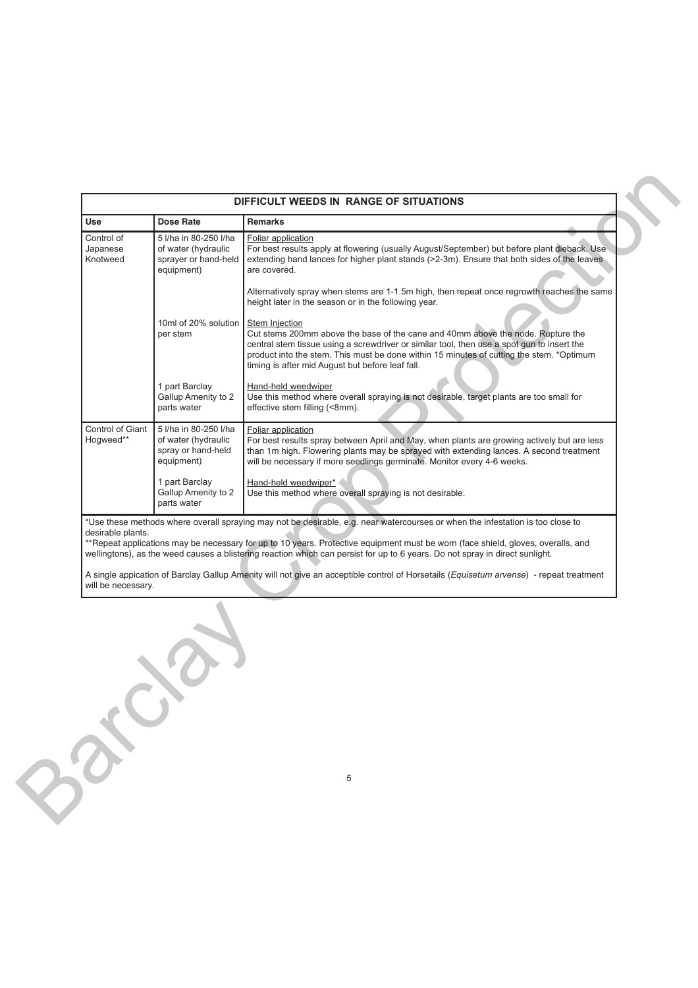| Use                                                                          | <b>Dose Rate</b>                                                                   | <b>Remarks</b>                                                                                                                                                                                                                                                                                                                                                                                     |  |
|------------------------------------------------------------------------------|------------------------------------------------------------------------------------|----------------------------------------------------------------------------------------------------------------------------------------------------------------------------------------------------------------------------------------------------------------------------------------------------------------------------------------------------------------------------------------------------|--|
| Control of<br>Japanese<br>Knotweed                                           | 5 I/ha in 80-250 I/ha<br>of water (hydraulic<br>sprayer or hand-held<br>equipment) | Foliar application<br>For best results apply at flowering (usually August/September) but before plant dieback. Use<br>extending hand lances for higher plant stands (>2-3m). Ensure that both sides of the leaves<br>are covered.                                                                                                                                                                  |  |
|                                                                              |                                                                                    | Alternatively spray when stems are 1-1.5m high, then repeat once regrowth reaches the same<br>height later in the season or in the following year.                                                                                                                                                                                                                                                 |  |
|                                                                              | 10ml of 20% solution<br>per stem                                                   | Stem Injection<br>Cut stems 200mm above the base of the cane and 40mm above the node. Rupture the<br>central stem tissue using a screwdriver or similar tool, then use a spot gun to insert the<br>product into the stem. This must be done within 15 minutes of cutting the stem. *Optimum<br>timing is after mid August but before leaf fall.                                                    |  |
|                                                                              | 1 part Barclay<br>Gallup Amenity to 2<br>parts water                               | Hand-held weedwiper<br>Use this method where overall spraying is not desirable, target plants are too small for<br>effective stem filling (<8mm).                                                                                                                                                                                                                                                  |  |
| Control of Giant<br>Hogweed**<br>equipment)<br>1 part Barclay<br>parts water | 5 I/ha in 80-250 I/ha<br>of water (hydraulic<br>spray or hand-held                 | Foliar application<br>For best results spray between April and May, when plants are growing actively but are less<br>than 1m high. Flowering plants may be sprayed with extending lances. A second treatment<br>will be necessary if more seedlings germinate. Monitor every 4-6 weeks.                                                                                                            |  |
|                                                                              | Gallup Amenity to 2                                                                | Hand-held weedwiper*<br>Use this method where overall spraying is not desirable.                                                                                                                                                                                                                                                                                                                   |  |
| desirable plants.                                                            |                                                                                    | *Use these methods where overall spraying may not be desirable, e.g. near watercourses or when the infestation is too close to<br>**Repeat applications may be necessary for up to 10 years. Protective equipment must be worn (face shield, gloves, overalls, and<br>wellingtons), as the weed causes a blistering reaction which can persist for up to 6 years. Do not spray in direct sunlight. |  |
| will be necessary.                                                           |                                                                                    | A single appication of Barclay Gallup Amenity will not give an acceptible control of Horsetails (Equisetum arvense) - repeat treatment                                                                                                                                                                                                                                                             |  |
|                                                                              |                                                                                    |                                                                                                                                                                                                                                                                                                                                                                                                    |  |
|                                                                              |                                                                                    |                                                                                                                                                                                                                                                                                                                                                                                                    |  |
|                                                                              |                                                                                    |                                                                                                                                                                                                                                                                                                                                                                                                    |  |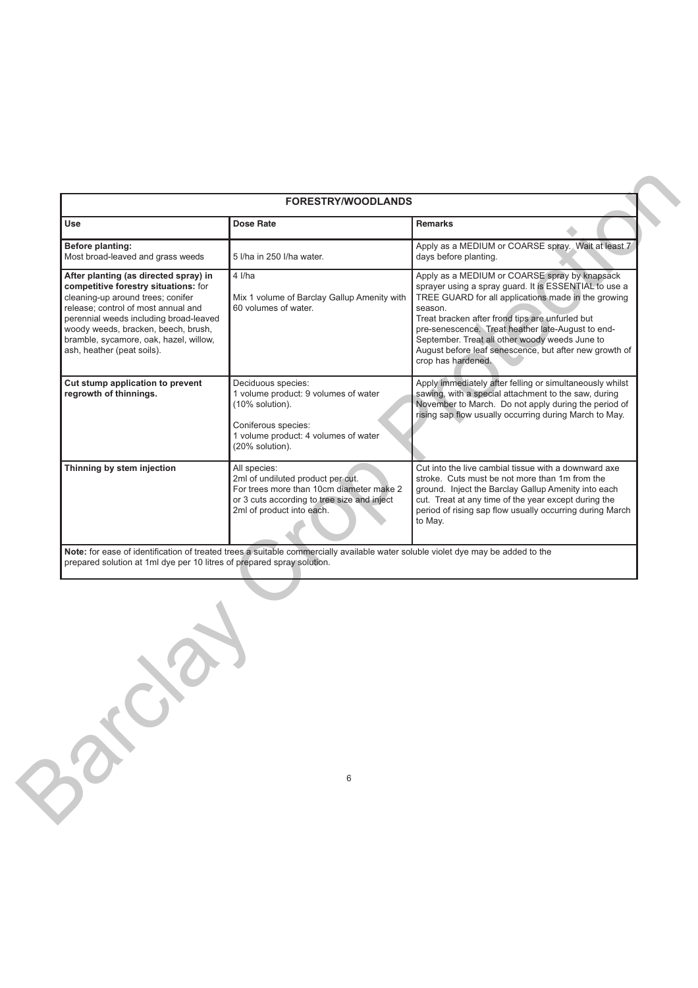|                                                                                                                                                                                                                                                                                                                    | <b>FORESTRY/WOODLANDS</b>                                                                                                                                                 |                                                                                                                                                                                                                                                                                                                                                                                                                    |
|--------------------------------------------------------------------------------------------------------------------------------------------------------------------------------------------------------------------------------------------------------------------------------------------------------------------|---------------------------------------------------------------------------------------------------------------------------------------------------------------------------|--------------------------------------------------------------------------------------------------------------------------------------------------------------------------------------------------------------------------------------------------------------------------------------------------------------------------------------------------------------------------------------------------------------------|
| Use                                                                                                                                                                                                                                                                                                                | <b>Dose Rate</b>                                                                                                                                                          | Remarks                                                                                                                                                                                                                                                                                                                                                                                                            |
| Before planting:<br>Most broad-leaved and grass weeds                                                                                                                                                                                                                                                              | 5 I/ha in 250 I/ha water.                                                                                                                                                 | Apply as a MEDIUM or COARSE spray. Wait at least 7<br>days before planting.                                                                                                                                                                                                                                                                                                                                        |
| After planting (as directed spray) in<br>competitive forestry situations: for<br>cleaning-up around trees; conifer<br>release; control of most annual and<br>perennial weeds including broad-leaved<br>woody weeds, bracken, beech, brush,<br>bramble, sycamore, oak, hazel, willow,<br>ash, heather (peat soils). | $4$ I/ha<br>Mix 1 volume of Barclay Gallup Amenity with<br>60 volumes of water.                                                                                           | Apply as a MEDIUM or COARSE spray by knapsack<br>sprayer using a spray guard. It is ESSENTIAL to use a<br>TREE GUARD for all applications made in the growing<br>season.<br>Treat bracken after frond tips are unfurled but<br>pre-senescence. Treat heather late-August to end-<br>September. Treat all other woody weeds June to<br>August before leaf senescence, but after new growth of<br>crop has hardened. |
| Cut stump application to prevent<br>regrowth of thinnings.                                                                                                                                                                                                                                                         | Deciduous species:<br>1 volume product: 9 volumes of water<br>(10% solution).<br>Coniferous species:<br>1 volume product: 4 volumes of water<br>(20% solution).           | Apply immediately after felling or simultaneously whilst<br>sawing, with a special attachment to the saw, during<br>November to March. Do not apply during the period of<br>rising sap flow usually occurring during March to May.                                                                                                                                                                                 |
| Thinning by stem injection                                                                                                                                                                                                                                                                                         | All species:<br>2ml of undiluted product per cut.<br>For trees more than 10cm diameter make 2<br>or 3 cuts according to tree size and inject<br>2ml of product into each. | Cut into the live cambial tissue with a downward axe<br>stroke. Cuts must be not more than 1m from the<br>ground. Inject the Barclay Gallup Amenity into each<br>cut. Treat at any time of the year except during the<br>period of rising sap flow usually occurring during March<br>to May.                                                                                                                       |
| prepared solution at 1ml dye per 10 litres of prepared spray solution.                                                                                                                                                                                                                                             |                                                                                                                                                                           |                                                                                                                                                                                                                                                                                                                                                                                                                    |
|                                                                                                                                                                                                                                                                                                                    |                                                                                                                                                                           |                                                                                                                                                                                                                                                                                                                                                                                                                    |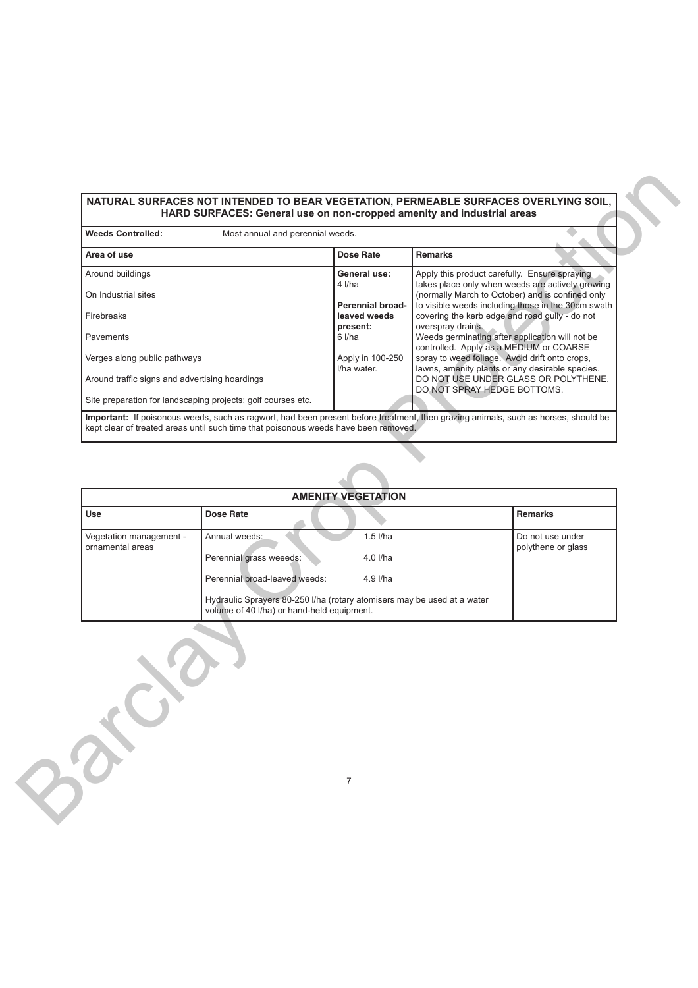# **NATURAL SURFACES NOT INTENDED TO BEAR VEGETATION, PERMEABLE SURFACES OVERLYING SOIL, HARD SURFACES: General use on non-cropped amenity and industrial areas**

| <b>Weeds Controlled:</b>                       | Most annual and perennial weeds.                                                                                      |                                         |                                                                                           |                                                    |
|------------------------------------------------|-----------------------------------------------------------------------------------------------------------------------|-----------------------------------------|-------------------------------------------------------------------------------------------|----------------------------------------------------|
| Area of use                                    |                                                                                                                       | Dose Rate                               | <b>Remarks</b>                                                                            |                                                    |
| Around buildings                               |                                                                                                                       | General use:<br>4 I/ha                  | Apply this product carefully. Ensure spraying                                             | takes place only when weeds are actively growing   |
| On Industrial sites                            |                                                                                                                       |                                         |                                                                                           | (normally March to October) and is confined only   |
| Firebreaks                                     |                                                                                                                       | <b>Perennial broad-</b><br>leaved weeds | covering the kerb edge and road gully - do not                                            | to visible weeds including those in the 30cm swath |
| Pavements                                      |                                                                                                                       | present:<br>6 l/ha                      | overspray drains.<br>Weeds germinating after application will not be                      |                                                    |
| Verges along public pathways                   |                                                                                                                       | Apply in 100-250                        | controlled. Apply as a MEDIUM or COARSE<br>spray to weed foliage. Avoid drift onto crops, |                                                    |
| Around traffic signs and advertising hoardings |                                                                                                                       | I/ha water.                             | lawns, amenity plants or any desirable species.                                           | DO NOT USE UNDER GLASS OR POLYTHENE.               |
|                                                | Site preparation for landscaping projects; golf courses etc.                                                          |                                         | DO NOT SPRAY HEDGE BOTTOMS.                                                               |                                                    |
| Use                                            | Dose Rate                                                                                                             | <b>AMENITY VEGETATION</b>               |                                                                                           | <b>Remarks</b>                                     |
|                                                |                                                                                                                       |                                         |                                                                                           |                                                    |
| Vegetation management -<br>ornamental areas    | Annual weeds:                                                                                                         | $1.5$ I/ha                              |                                                                                           | Do not use under<br>polythene or glass             |
|                                                | Perennial grass weeeds:                                                                                               | 4.0 l/ha                                |                                                                                           |                                                    |
|                                                |                                                                                                                       |                                         |                                                                                           |                                                    |
|                                                | Perennial broad-leaved weeds:                                                                                         | 4.9 l/ha                                |                                                                                           |                                                    |
|                                                | Hydraulic Sprayers 80-250 I/ha (rotary atomisers may be used at a water<br>volume of 40 I/ha) or hand-held equipment. |                                         |                                                                                           |                                                    |

|                                             | <b>AMENITY VEGETATION</b>                                                                                             |            |                                        |
|---------------------------------------------|-----------------------------------------------------------------------------------------------------------------------|------------|----------------------------------------|
| <b>Use</b>                                  | <b>Dose Rate</b>                                                                                                      |            | <b>Remarks</b>                         |
| Vegetation management -<br>ornamental areas | Annual weeds:                                                                                                         | $1.5$ I/ha | Do not use under<br>polythene or glass |
|                                             | Perennial grass weeeds:                                                                                               | $4.0$ I/ha |                                        |
|                                             | Perennial broad-leaved weeds:                                                                                         | 4.9 l/ha   |                                        |
|                                             | Hydraulic Sprayers 80-250 I/ha (rotary atomisers may be used at a water<br>volume of 40 I/ha) or hand-held equipment. |            |                                        |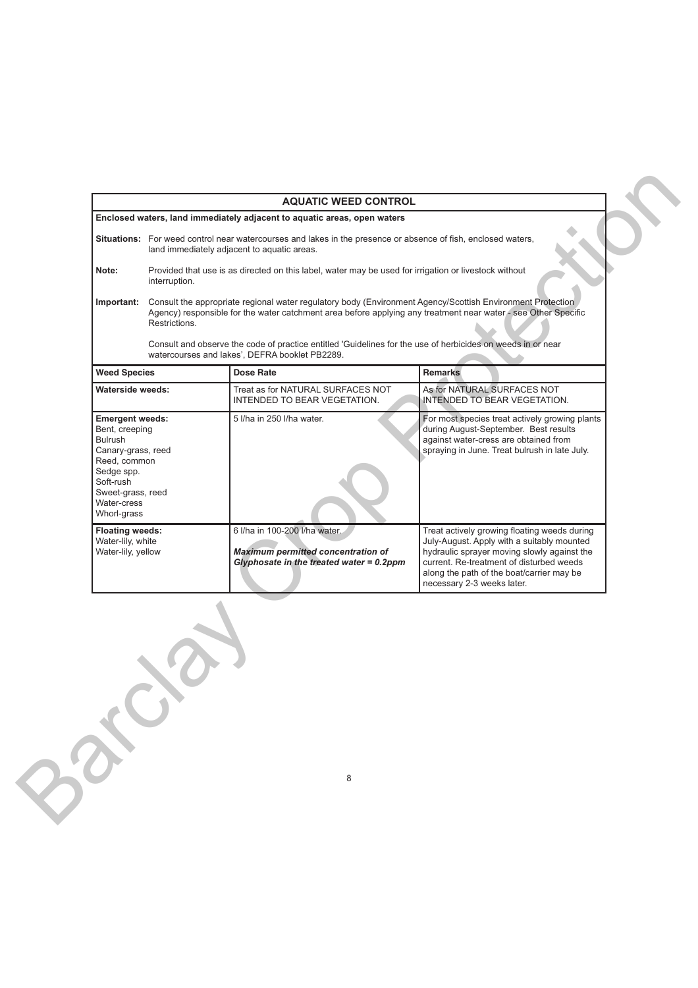|                                                                                                                                                                         |                                                                                                                                                                                                                                               | <b>AQUATIC WEED CONTROL</b>                                                                                               |                                                                                                                                                                                                                                                                  |
|-------------------------------------------------------------------------------------------------------------------------------------------------------------------------|-----------------------------------------------------------------------------------------------------------------------------------------------------------------------------------------------------------------------------------------------|---------------------------------------------------------------------------------------------------------------------------|------------------------------------------------------------------------------------------------------------------------------------------------------------------------------------------------------------------------------------------------------------------|
|                                                                                                                                                                         |                                                                                                                                                                                                                                               | Enclosed waters, land immediately adjacent to aquatic areas, open waters                                                  |                                                                                                                                                                                                                                                                  |
|                                                                                                                                                                         | Situations: For weed control near watercourses and lakes in the presence or absence of fish, enclosed waters,<br>land immediately adjacent to aquatic areas.                                                                                  |                                                                                                                           |                                                                                                                                                                                                                                                                  |
| Note:                                                                                                                                                                   | Provided that use is as directed on this label, water may be used for irrigation or livestock without<br>interruption.                                                                                                                        |                                                                                                                           |                                                                                                                                                                                                                                                                  |
| Important:                                                                                                                                                              | Consult the appropriate regional water regulatory body (Environment Agency/Scottish Environment Protection<br>Agency) responsible for the water catchment area before applying any treatment near water - see Other Specific<br>Restrictions. |                                                                                                                           |                                                                                                                                                                                                                                                                  |
|                                                                                                                                                                         |                                                                                                                                                                                                                                               | watercourses and lakes', DEFRA booklet PB2289.                                                                            | Consult and observe the code of practice entitled 'Guidelines for the use of herbicides on weeds in or near                                                                                                                                                      |
| <b>Weed Species</b>                                                                                                                                                     |                                                                                                                                                                                                                                               | Dose Rate                                                                                                                 | <b>Remarks</b>                                                                                                                                                                                                                                                   |
| <b>Waterside weeds:</b>                                                                                                                                                 |                                                                                                                                                                                                                                               | Treat as for NATURAL SURFACES NOT<br>INTENDED TO BEAR VEGETATION.                                                         | As for NATURAL SURFACES NOT<br>INTENDED TO BEAR VEGETATION.                                                                                                                                                                                                      |
| <b>Emergent weeds:</b><br>Bent, creeping<br>Bulrush<br>Canary-grass, reed<br>Reed, common<br>Sedge spp.<br>Soft-rush<br>Sweet-grass, reed<br>Water-cress<br>Whorl-grass |                                                                                                                                                                                                                                               | 5 I/ha in 250 I/ha water.                                                                                                 | For most species treat actively growing plants<br>during August-September. Best results<br>against water-cress are obtained from<br>spraying in June. Treat bulrush in late July.                                                                                |
| <b>Floating weeds:</b><br>Water-lily, white<br>Water-lily, yellow                                                                                                       |                                                                                                                                                                                                                                               | 6 I/ha in 100-200 I/ha water.<br><b>Maximum permitted concentration of</b><br>Glyphosate in the treated water = $0.2$ ppm | Treat actively growing floating weeds during<br>July-August. Apply with a suitably mounted<br>hydraulic sprayer moving slowly against the<br>current. Re-treatment of disturbed weeds<br>along the path of the boat/carrier may be<br>necessary 2-3 weeks later. |
|                                                                                                                                                                         |                                                                                                                                                                                                                                               | 8                                                                                                                         |                                                                                                                                                                                                                                                                  |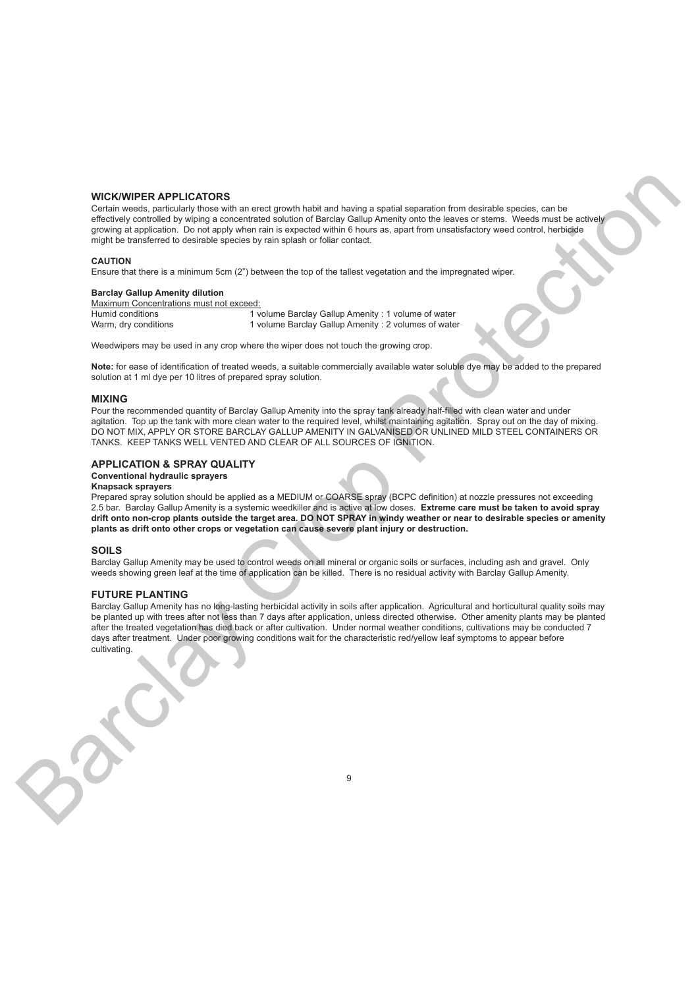# **WICK/WIPER APPLICATORS**

Certain weeds, particularly those with an erect growth habit and having a spatial separation from desirable species, can be effectively controlled by wiping a concentrated solution of Barclay Gallup Amenity onto the leaves or stems. Weeds must be actively growing at application. Do not apply when rain is expected within 6 hours as, apart from unsatisfactory weed control, herbicide might be transferred to desirable species by rain splash or foliar contact.

#### **CAUTION**

Ensure that there is a minimum 5cm (2") between the top of the tallest vegetation and the impregnated wiper.

#### **Barclay Gallup Amenity dilution**

Maximum Concentrations must not exceed:

Humid conditions 1 volume Barclay Gallup Amenity : 1 volume of water Warm, dry conditions 1 volume Barclay Gallup Amenity : 2 volumes of water

Weedwipers may be used in any crop where the wiper does not touch the growing crop.

**Note:** for ease of identification of treated weeds, a suitable commercially available water soluble dye may be added to the prepared solution at 1 ml dye per 10 litres of prepared spray solution.

#### **MIXING**

Pour the recommended quantity of Barclay Gallup Amenity into the spray tank already half-filled with clean water and under agitation. Top up the tank with more clean water to the required level, whilst maintaining agitation. Spray out on the day of mixing. DO NOT MIX, APPLY OR STORE BARCLAY GALLUP AMENITY IN GALVANISED OR UNLINED MILD STEEL CONTAINERS OR TANKS. KEEP TANKS WELL VENTED AND CLEAR OF ALL SOURCES OF IGNITION.

## **APPLICATION & SPRAY QUALITY**

# **Conventional hydraulic sprayers**

#### **Knapsack sprayers**

Prepared spray solution should be applied as a MEDIUM or COARSE spray (BCPC definition) at nozzle pressures not exceeding 2.5 bar. Barclay Gallup Amenity is a systemic weedkiller and is active at low doses. **Extreme care must be taken to avoid spray drift onto non-crop plants outside the target area. DO NOT SPRAY in windy weather or near to desirable species or amenity plants as drift onto other crops or vegetation can cause severe plant injury or destruction.**

#### **SOILS**

Barclay Gallup Amenity may be used to control weeds on all mineral or organic soils or surfaces, including ash and gravel. Only weeds showing green leaf at the time of application can be killed. There is no residual activity with Barclay Gallup Amenity.

#### **FUTURE PLANTING**

Barclay Gallup Amenity has no long-lasting herbicidal activity in soils after application. Agricultural and horticultural quality soils may be planted up with trees after not less than 7 days after application, unless directed otherwise. Other amenity plants may be planted after the treated vegetation has died back or after cultivation. Under normal weather conditions, cultivations may be conducted 7 days after treatment. Under poor growing conditions wait for the characteristic red/yellow leaf symptoms to appear before cultivating. WICH WIFER APPLICATORS<br>
Comparison to the state through the state of the state of the state of the state of the state of the state of the state of the state of the state of the state of the state of the state of the state